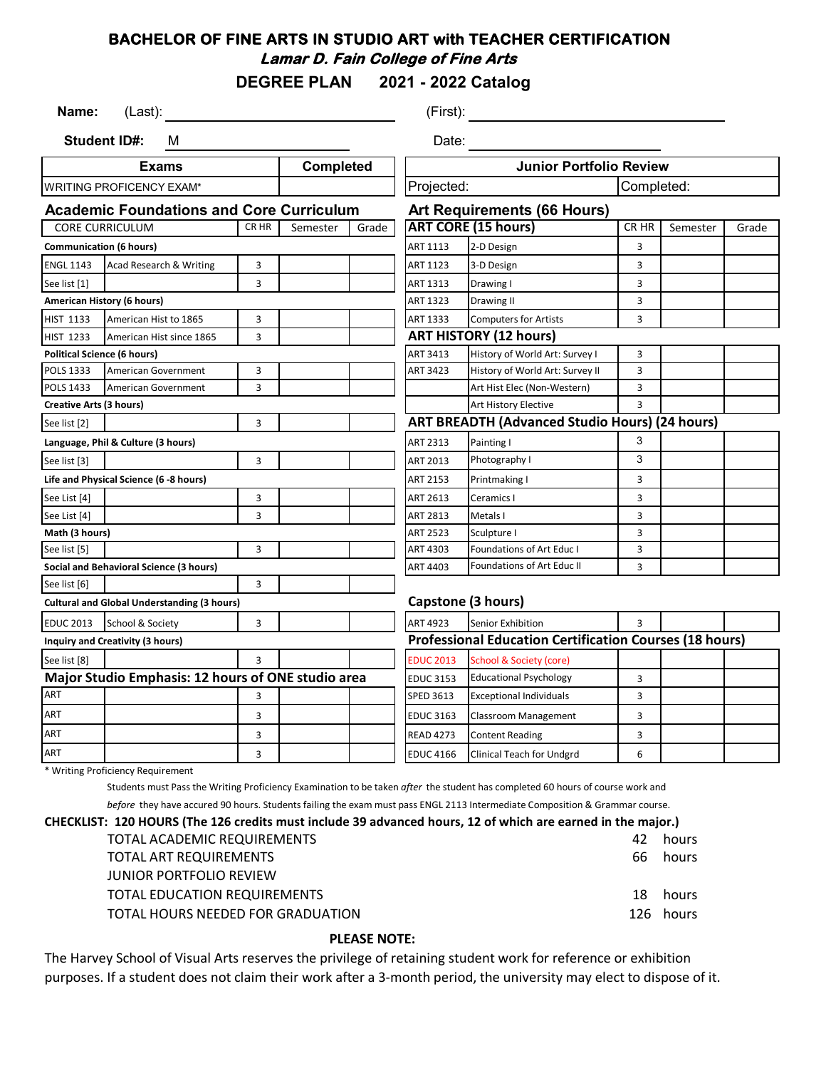# **BACHELOR OF FINE ARTS IN STUDIO ART with TEACHER CERTIFICATION Lamar D. Fain College of Fine Arts**

**DEGREE PLAN 2021 - 2022 Catalog**

| Name:<br>(Last):                                     |                                         |                                                    |                          |                                | (First):                      |                                                                |              |  |  |
|------------------------------------------------------|-----------------------------------------|----------------------------------------------------|--------------------------|--------------------------------|-------------------------------|----------------------------------------------------------------|--------------|--|--|
| <b>Student ID#:</b><br>м                             |                                         |                                                    | Date:                    |                                |                               |                                                                |              |  |  |
| <b>Completed</b><br><b>Exams</b>                     |                                         |                                                    |                          | <b>Junior Portfolio Review</b> |                               |                                                                |              |  |  |
| <b>WRITING PROFICENCY EXAM*</b>                      |                                         |                                                    | Projected:<br>Completed: |                                |                               |                                                                |              |  |  |
|                                                      |                                         | <b>Academic Foundations and Core Curriculum</b>    |                          |                                |                               | <b>Art Requirements (66 Hours)</b>                             |              |  |  |
| <b>CORE CURRICULUM</b><br>Grade<br>CR HR<br>Semester |                                         |                                                    |                          | <b>ART CORE (15 hours)</b>     | CR HR                         | Semester                                                       | Grade        |  |  |
| <b>Communication (6 hours)</b>                       |                                         |                                                    |                          |                                | ART 1113                      | 2-D Design                                                     | 3            |  |  |
| <b>ENGL 1143</b>                                     | Acad Research & Writing                 |                                                    | 3                        |                                | ART 1123                      | 3-D Design                                                     | 3            |  |  |
| See list [1]                                         |                                         |                                                    | 3                        |                                | ART 1313                      | Drawing I                                                      | 3            |  |  |
|                                                      | American History (6 hours)              |                                                    |                          |                                | ART 1323                      | Drawing II                                                     | 3            |  |  |
| <b>HIST 1133</b>                                     | American Hist to 1865                   |                                                    | 3                        |                                | ART 1333                      | <b>Computers for Artists</b>                                   | 3            |  |  |
| <b>HIST 1233</b>                                     | American Hist since 1865                |                                                    | 3                        |                                | <b>ART HISTORY (12 hours)</b> |                                                                |              |  |  |
| <b>Political Science (6 hours)</b>                   |                                         |                                                    |                          |                                | ART 3413                      | History of World Art: Survey I                                 | 3            |  |  |
| POLS 1333                                            | <b>American Government</b>              |                                                    | 3                        |                                | ART 3423                      | History of World Art: Survey II                                | 3            |  |  |
| POLS 1433                                            | <b>American Government</b>              |                                                    | 3                        |                                |                               | Art Hist Elec (Non-Western)                                    | 3            |  |  |
| <b>Creative Arts (3 hours)</b>                       |                                         |                                                    |                          |                                |                               | Art History Elective                                           | 3            |  |  |
| See list [2]                                         |                                         |                                                    | 3                        |                                |                               | <b>ART BREADTH (Advanced Studio Hours) (24 hours)</b>          |              |  |  |
|                                                      | Language, Phil & Culture (3 hours)      |                                                    |                          |                                | ART 2313                      | Painting I                                                     | 3            |  |  |
| See list [3]                                         |                                         |                                                    | 3                        |                                | ART 2013                      | Photography I                                                  | 3            |  |  |
|                                                      | Life and Physical Science (6 -8 hours)  |                                                    |                          |                                | ART 2153                      | Printmaking I                                                  | 3            |  |  |
| See List [4]                                         |                                         |                                                    | 3                        |                                | ART 2613                      | Ceramics I                                                     | 3            |  |  |
| See List [4]                                         |                                         |                                                    | 3                        |                                | ART 2813                      | Metals I                                                       | 3            |  |  |
| Math (3 hours)                                       |                                         |                                                    |                          |                                | ART 2523                      | Sculpture I                                                    | 3            |  |  |
| See list [5]                                         |                                         |                                                    | 3                        |                                | ART 4303                      | <b>Foundations of Art Educ I</b>                               | 3            |  |  |
|                                                      | Social and Behavioral Science (3 hours) |                                                    |                          |                                | ART 4403                      | Foundations of Art Educ II                                     | 3            |  |  |
| See list [6]                                         |                                         |                                                    | 3                        |                                |                               |                                                                |              |  |  |
|                                                      |                                         | <b>Cultural and Global Understanding (3 hours)</b> |                          |                                |                               | <b>Capstone (3 hours)</b>                                      |              |  |  |
| <b>EDUC 2013</b>                                     | School & Society                        |                                                    | 3                        |                                | ART 4923                      | Senior Exhibition                                              | $\mathbf{R}$ |  |  |
|                                                      | <b>Inquiry and Creativity (3 hours)</b> |                                                    |                          |                                |                               | <b>Professional Education Certification Courses (18 hours)</b> |              |  |  |
| See list [8]                                         |                                         |                                                    | 3                        |                                | <b>EDUC 2013</b>              | School & Society (core)                                        |              |  |  |
|                                                      |                                         | Major Studio Emphasis: 12 hours of ONE studio area |                          |                                | <b>EDUC 3153</b>              | <b>Educational Psychology</b>                                  | 3            |  |  |
| <b>ART</b>                                           |                                         |                                                    | 3                        |                                | SPED 3613                     | <b>Exceptional Individuals</b>                                 | 3            |  |  |
| ART                                                  |                                         |                                                    | 3                        |                                | <b>EDUC 3163</b>              | Classroom Management                                           | 3            |  |  |
| ART                                                  |                                         |                                                    | 3                        |                                | <b>READ 4273</b>              | <b>Content Reading</b>                                         | 3            |  |  |
| ART                                                  |                                         |                                                    | 3                        |                                | <b>EDUC 4166</b>              | Clinical Teach for Undgrd                                      | 6            |  |  |

\* Writing Proficiency Requirement

Students must Pass the Writing Proficiency Examination to be taken *after* the student has completed 60 hours of course work and *before* they have accured 90 hours. Students failing the exam must pass ENGL 2113 Intermediate Composition & Grammar course.

**CHECKLIST: 120 HOURS (The 126 credits must include 39 advanced hours, 12 of which are earned in the major.)**

| CIST: IZU HOOKS (The IZ6 Credits must include 39 advanced hours, IZ 01 which are earned in the major.) |    |           |
|--------------------------------------------------------------------------------------------------------|----|-----------|
| TOTAL ACADEMIC REQUIREMENTS                                                                            | 42 | hours     |
| TOTAL ART REQUIREMENTS                                                                                 |    | 66 hours  |
| <b>JUNIOR PORTFOLIO REVIEW</b>                                                                         |    |           |
| TOTAL EDUCATION REQUIREMENTS                                                                           |    | 18 hours  |
| TOTAL HOURS NEEDED FOR GRADUATION                                                                      |    | 126 hours |
|                                                                                                        |    |           |

#### **PLEASE NOTE:**

The Harvey School of Visual Arts reserves the privilege of retaining student work for reference or exhibition purposes. If a student does not claim their work after a 3-month period, the university may elect to dispose of it.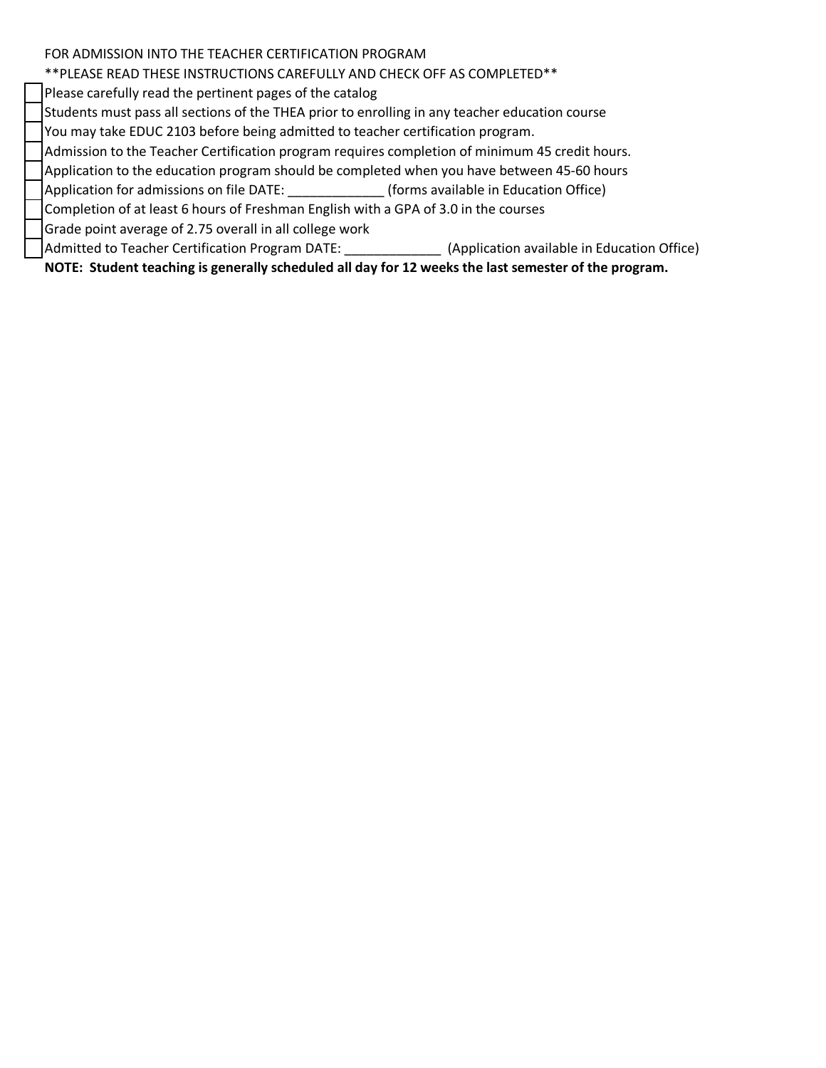### FOR ADMISSION INTO THE TEACHER CERTIFICATION PROGRAM

# \*\*PLEASE READ THESE INSTRUCTIONS CAREFULLY AND CHECK OFF AS COMPLETED\*\*

Please carefully read the pertinent pages of the catalog

Students must pass all sections of the THEA prior to enrolling in any teacher education course

You may take EDUC 2103 before being admitted to teacher certification program.

Admission to the Teacher Certification program requires completion of minimum 45 credit hours.

Application to the education program should be completed when you have between 45-60 hours

Application for admissions on file DATE: \_\_\_\_\_\_\_\_\_\_\_\_\_\_\_(forms available in Education Office)

Completion of at least 6 hours of Freshman English with a GPA of 3.0 in the courses

Grade point average of 2.75 overall in all college work

Admitted to Teacher Certification Program DATE: (Application available in Education Office)

**NOTE: Student teaching is generally scheduled all day for 12 weeks the last semester of the program.**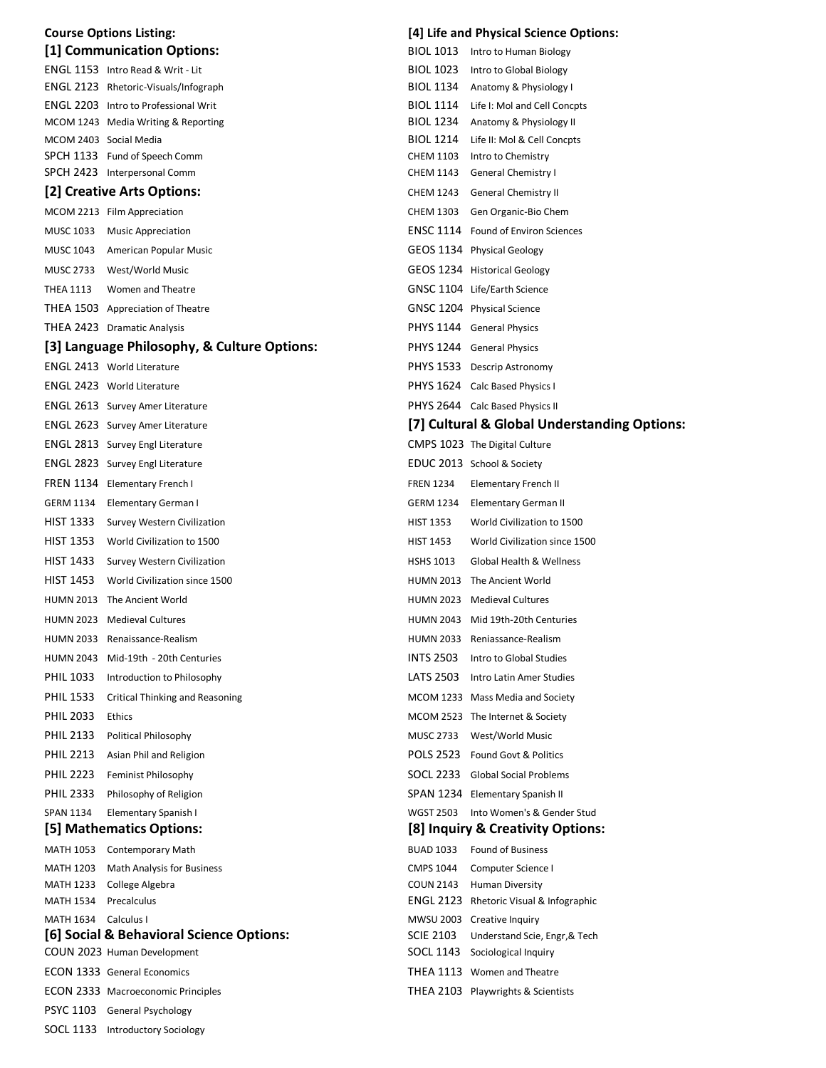|                        | <b>Course Options Listing:</b>                                |                  | [4] Life and Physical Science Options:       |
|------------------------|---------------------------------------------------------------|------------------|----------------------------------------------|
|                        | [1] Communication Options:                                    |                  | BIOL 1013 Intro to Human Biology             |
|                        | ENGL 1153 Intro Read & Writ - Lit                             | BIOL 1023        | Intro to Global Biology                      |
|                        | ENGL 2123 Rhetoric-Visuals/Infograph                          |                  | BIOL 1134 Anatomy & Physiology I             |
|                        | <b>ENGL 2203</b> Intro to Professional Writ                   | BIOL 1114        | Life I: Mol and Cell Concpts                 |
|                        | MCOM 1243 Media Writing & Reporting                           | BIOL 1234        | Anatomy & Physiology II                      |
|                        | MCOM 2403 Social Media                                        | BIOL 1214        | Life II: Mol & Cell Concpts                  |
|                        | SPCH 1133 Fund of Speech Comm                                 | CHEM 1103        | Intro to Chemistry                           |
|                        | SPCH 2423 Interpersonal Comm                                  |                  | CHEM 1143 General Chemistry I                |
|                        | [2] Creative Arts Options:                                    |                  | CHEM 1243 General Chemistry II               |
|                        | MCOM 2213 Film Appreciation                                   |                  | CHEM 1303 Gen Organic-Bio Chem               |
|                        | MUSC 1033 Music Appreciation                                  |                  | <b>ENSC 1114</b> Found of Environ Sciences   |
|                        | MUSC 1043 American Popular Music                              |                  | GEOS 1134 Physical Geology                   |
|                        | MUSC 2733 West/World Music                                    |                  | GEOS 1234 Historical Geology                 |
| THEA 1113              | Women and Theatre                                             |                  | GNSC 1104 Life/Earth Science                 |
|                        | THEA 1503 Appreciation of Theatre                             |                  | GNSC 1204 Physical Science                   |
|                        | THEA 2423 Dramatic Analysis                                   |                  | PHYS 1144 General Physics                    |
|                        | [3] Language Philosophy, & Culture Options:                   |                  | PHYS 1244 General Physics                    |
|                        | <b>ENGL 2413</b> World Literature                             |                  | PHYS 1533 Descrip Astronomy                  |
|                        | ENGL 2423 World Literature                                    |                  | PHYS 1624 Calc Based Physics I               |
|                        | ENGL 2613 Survey Amer Literature                              |                  | PHYS 2644 Calc Based Physics II              |
|                        | <b>ENGL 2623</b> Survey Amer Literature                       |                  | [7] Cultural & Global Understanding Options: |
|                        |                                                               |                  |                                              |
|                        | ENGL 2813 Survey Engl Literature                              |                  | CMPS 1023 The Digital Culture                |
|                        | ENGL 2823 Survey Engl Literature                              |                  | EDUC 2013 School & Society                   |
|                        | FREN 1134 Elementary French I                                 | <b>FREN 1234</b> | Elementary French II                         |
|                        | GERM 1134 Elementary German I                                 | GERM 1234        | Elementary German II                         |
|                        | HIST 1333 Survey Western Civilization                         | <b>HIST 1353</b> | World Civilization to 1500                   |
|                        | HIST 1353 World Civilization to 1500                          | HIST 1453        | World Civilization since 1500                |
|                        | HIST 1433 Survey Western Civilization                         | <b>HSHS 1013</b> | Global Health & Wellness                     |
|                        | HIST 1453 World Civilization since 1500                       |                  | HUMN 2013 The Ancient World                  |
|                        | HUMN 2013 The Ancient World                                   |                  | HUMN 2023 Medieval Cultures                  |
|                        | HUMN 2023 Medieval Cultures                                   |                  | HUMN 2043 Mid 19th-20th Centuries            |
|                        | HUMN 2033 Renaissance-Realism                                 |                  | HUMN 2033 Reniassance-Realism                |
| <b>HUMN 2043</b>       | Mid-19th - 20th Centuries                                     | <b>INTS 2503</b> | Intro to Global Studies                      |
| <b>PHIL 1033</b>       | Introduction to Philosophy                                    | LATS 2503        | Intro Latin Amer Studies                     |
| PHIL 1533              | Critical Thinking and Reasoning                               |                  | MCOM 1233 Mass Media and Society             |
| <b>PHIL 2033</b>       | Ethics                                                        |                  | MCOM 2523 The Internet & Society             |
| <b>PHIL 2133</b>       | Political Philosophy                                          |                  | MUSC 2733 West/World Music                   |
| <b>PHIL 2213</b>       | Asian Phil and Religion                                       |                  | POLS 2523 Found Govt & Politics              |
| <b>PHIL 2223</b>       | <b>Feminist Philosophy</b>                                    |                  | SOCL 2233 Global Social Problems             |
| <b>PHIL 2333</b>       | Philosophy of Religion                                        |                  | SPAN 1234 Elementary Spanish II              |
| <b>SPAN 1134</b>       | Elementary Spanish I                                          |                  | WGST 2503 Into Women's & Gender Stud         |
|                        | [5] Mathematics Options:                                      |                  | [8] Inquiry & Creativity Options:            |
|                        |                                                               | <b>BUAD 1033</b> | <b>Found of Business</b>                     |
| MATH 1053<br>MATH 1203 | <b>Contemporary Math</b><br><b>Math Analysis for Business</b> | <b>CMPS 1044</b> | Computer Science I                           |
| MATH 1233              | College Algebra                                               | COUN 2143        | <b>Human Diversity</b>                       |
| MATH 1534              | Precalculus                                                   |                  | ENGL 2123 Rhetoric Visual & Infographic      |
| MATH 1634 Calculus I   |                                                               |                  | MWSU 2003 Creative Inquiry                   |
|                        | [6] Social & Behavioral Science Options:                      | <b>SCIE 2103</b> | Understand Scie, Engr, & Tech                |
|                        | COUN 2023 Human Development                                   |                  | SOCL 1143 Sociological Inquiry               |
|                        | <b>ECON 1333 General Economics</b>                            |                  | THEA 1113 Women and Theatre                  |
|                        | <b>ECON 2333 Macroeconomic Principles</b>                     |                  | THEA 2103 Playwrights & Scientists           |
|                        | PSYC 1103 General Psychology                                  |                  |                                              |
|                        | SOCL 1133 Introductory Sociology                              |                  |                                              |
|                        |                                                               |                  |                                              |